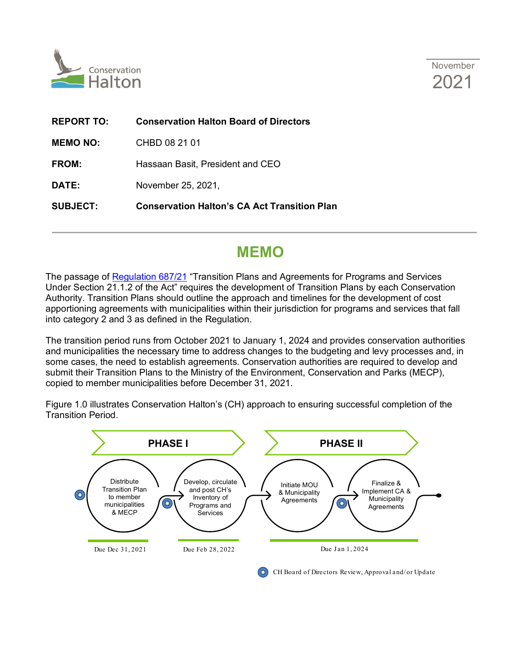



| <b>REPORT TO:</b> | <b>Conservation Halton Board of Directors</b>       |
|-------------------|-----------------------------------------------------|
| <b>MEMO NO:</b>   | CHBD 08 21 01                                       |
| <b>FROM:</b>      | Hassaan Basit, President and CEO                    |
| <b>DATE:</b>      | November 25, 2021,                                  |
| <b>SUBJECT:</b>   | <b>Conservation Halton's CA Act Transition Plan</b> |

# **MEMO**

The passage of [Regulation 687/21](https://www.ontario.ca/laws/regulation/r21687) "Transition Plans and Agreements for Programs and Services Under Section 21.1.2 of the Act" requires the development of Transition Plans by each Conservation Authority. Transition Plans should outline the approach and timelines for the development of cost apportioning agreements with municipalities within their jurisdiction for programs and services that fall into category 2 and 3 as defined in the Regulation.

The transition period runs from October 2021 to January 1, 2024 and provides conservation authorities and municipalities the necessary time to address changes to the budgeting and levy processes and, in some cases, the need to establish agreements. Conservation authorities are required to develop and submit their Transition Plans to the Ministry of the Environment, Conservation and Parks (MECP), copied to member municipalities before December 31, 2021.

Figure 1.0 illustrates Conservation Halton's (CH) approach to ensuring successful completion of the Transition Period.